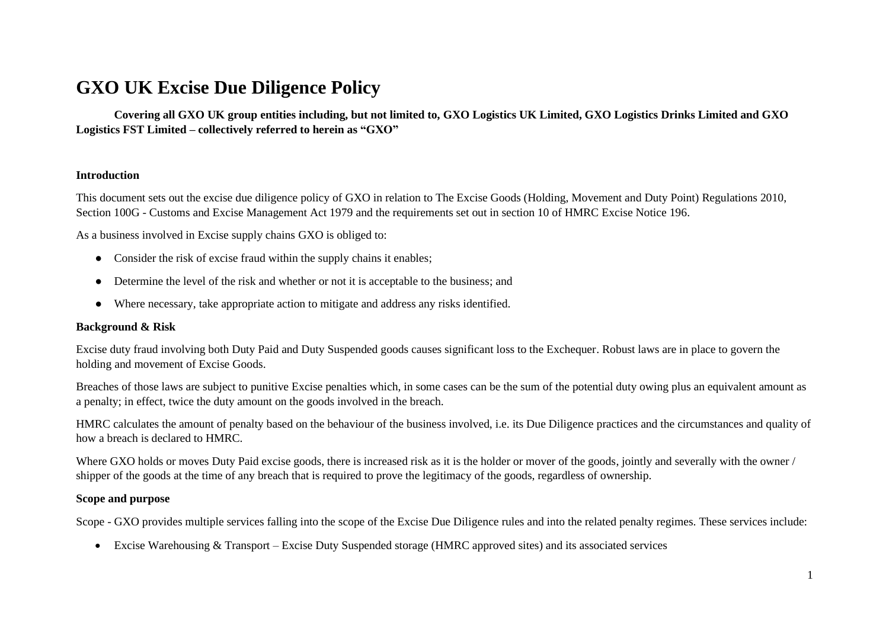# **GXO UK Excise Due Diligence Policy**

**Covering all GXO UK group entities including, but not limited to, GXO Logistics UK Limited, GXO Logistics Drinks Limited and GXO Logistics FST Limited – collectively referred to herein as "GXO"**

#### **Introduction**

This document sets out the excise due diligence policy of GXO in relation to The Excise Goods (Holding, Movement and Duty Point) Regulations 2010, Section 100G - Customs and Excise Management Act 1979 and the requirements set out in section 10 of HMRC Excise Notice 196.

As a business involved in Excise supply chains GXO is obliged to:

- Consider the risk of excise fraud within the supply chains it enables;
- Determine the level of the risk and whether or not it is acceptable to the business; and
- Where necessary, take appropriate action to mitigate and address any risks identified.

#### **Background & Risk**

Excise duty fraud involving both Duty Paid and Duty Suspended goods causes significant loss to the Exchequer. Robust laws are in place to govern the holding and movement of Excise Goods.

Breaches of those laws are subject to punitive Excise penalties which, in some cases can be the sum of the potential duty owing plus an equivalent amount as a penalty; in effect, twice the duty amount on the goods involved in the breach.

HMRC calculates the amount of penalty based on the behaviour of the business involved, i.e. its Due Diligence practices and the circumstances and quality of how a breach is declared to HMRC.

Where GXO holds or moves Duty Paid excise goods, there is increased risk as it is the holder or mover of the goods, jointly and severally with the owner / shipper of the goods at the time of any breach that is required to prove the legitimacy of the goods, regardless of ownership.

## **Scope and purpose**

Scope - GXO provides multiple services falling into the scope of the Excise Due Diligence rules and into the related penalty regimes. These services include:

• Excise Warehousing & Transport – Excise Duty Suspended storage (HMRC approved sites) and its associated services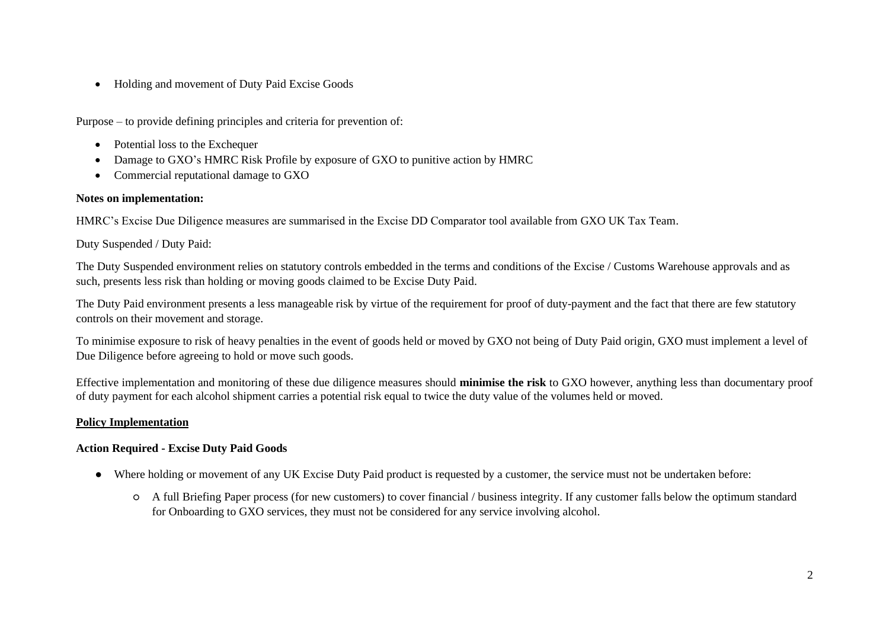• Holding and movement of Duty Paid Excise Goods

Purpose – to provide defining principles and criteria for prevention of:

- Potential loss to the Exchequer
- Damage to GXO's HMRC Risk Profile by exposure of GXO to punitive action by HMRC
- Commercial reputational damage to GXO

## **Notes on implementation:**

HMRC's Excise Due Diligence measures are summarised in the Excise DD Comparator tool available from GXO UK Tax Team.

Duty Suspended / Duty Paid:

The Duty Suspended environment relies on statutory controls embedded in the terms and conditions of the Excise / Customs Warehouse approvals and as such, presents less risk than holding or moving goods claimed to be Excise Duty Paid.

The Duty Paid environment presents a less manageable risk by virtue of the requirement for proof of duty-payment and the fact that there are few statutory controls on their movement and storage.

To minimise exposure to risk of heavy penalties in the event of goods held or moved by GXO not being of Duty Paid origin, GXO must implement a level of Due Diligence before agreeing to hold or move such goods.

Effective implementation and monitoring of these due diligence measures should **minimise the risk** to GXO however, anything less than documentary proof of duty payment for each alcohol shipment carries a potential risk equal to twice the duty value of the volumes held or moved.

# **Policy Implementation**

# **Action Required - Excise Duty Paid Goods**

- Where holding or movement of any UK Excise Duty Paid product is requested by a customer, the service must not be undertaken before:
	- A full Briefing Paper process (for new customers) to cover financial / business integrity. If any customer falls below the optimum standard for Onboarding to GXO services, they must not be considered for any service involving alcohol.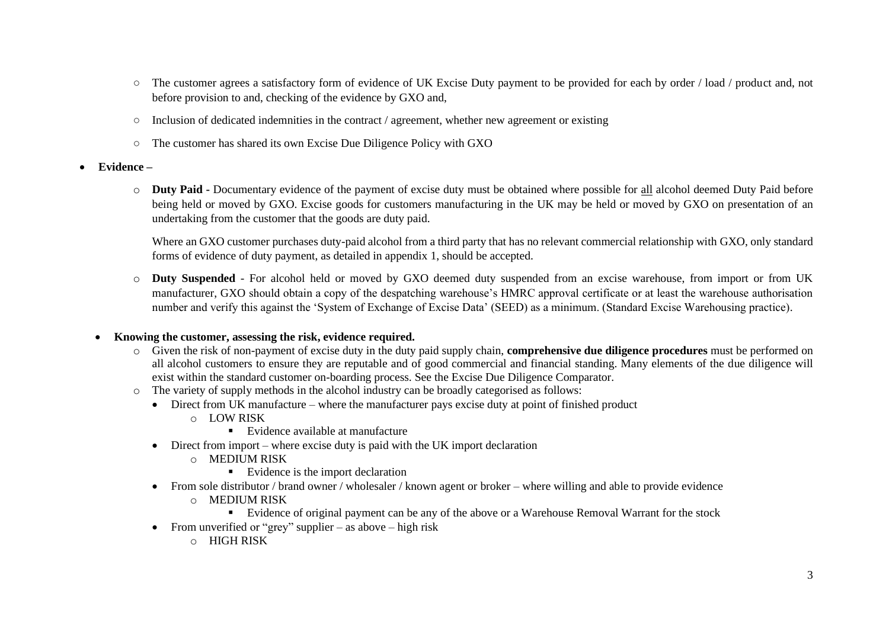- The customer agrees a satisfactory form of evidence of UK Excise Duty payment to be provided for each by order / load / product and, not before provision to and, checking of the evidence by GXO and,
- $\circ$  Inclusion of dedicated indemnities in the contract / agreement, whether new agreement or existing
- The customer has shared its own Excise Due Diligence Policy with GXO
- **Evidence –**
	- o **Duty Paid -** Documentary evidence of the payment of excise duty must be obtained where possible for all alcohol deemed Duty Paid before being held or moved by GXO. Excise goods for customers manufacturing in the UK may be held or moved by GXO on presentation of an undertaking from the customer that the goods are duty paid.

Where an GXO customer purchases duty-paid alcohol from a third party that has no relevant commercial relationship with GXO, only standard forms of evidence of duty payment, as detailed in appendix 1, should be accepted.

o **Duty Suspended** - For alcohol held or moved by GXO deemed duty suspended from an excise warehouse, from import or from UK manufacturer, GXO should obtain a copy of the despatching warehouse's HMRC approval certificate or at least the warehouse authorisation number and verify this against the 'System of Exchange of Excise Data' (SEED) as a minimum. (Standard Excise Warehousing practice).

# • **Knowing the customer, assessing the risk, evidence required.**

- o Given the risk of non-payment of excise duty in the duty paid supply chain, **comprehensive due diligence procedures** must be performed on all alcohol customers to ensure they are reputable and of good commercial and financial standing. Many elements of the due diligence will exist within the standard customer on-boarding process. See the Excise Due Diligence Comparator.
- o The variety of supply methods in the alcohol industry can be broadly categorised as follows:
	- Direct from UK manufacture where the manufacturer pays excise duty at point of finished product
		- o LOW RISK
			- Evidence available at manufacture
	- Direct from import where excise duty is paid with the UK import declaration
		- o MEDIUM RISK
			- Evidence is the import declaration
	- From sole distributor / brand owner / wholesaler / known agent or broker where willing and able to provide evidence
		- o MEDIUM RISK
			- Evidence of original payment can be any of the above or a Warehouse Removal Warrant for the stock
	- From unverified or "grey" supplier as above high risk
		- $O$  HIGH RISK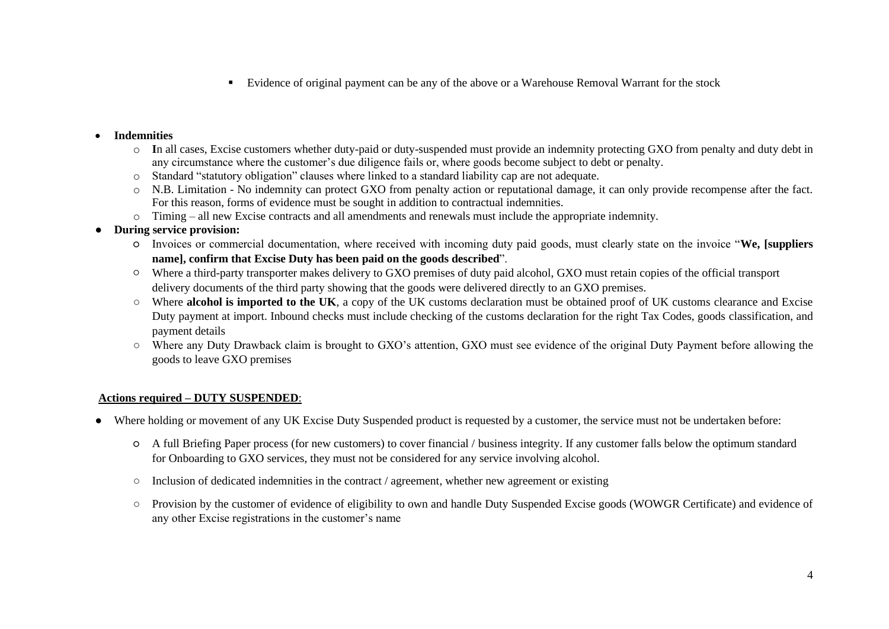▪ Evidence of original payment can be any of the above or a Warehouse Removal Warrant for the stock

#### • **Indemnities**

- o **I**n all cases, Excise customers whether duty-paid or duty-suspended must provide an indemnity protecting GXO from penalty and duty debt in any circumstance where the customer's due diligence fails or, where goods become subject to debt or penalty.
- o Standard "statutory obligation" clauses where linked to a standard liability cap are not adequate.
- o N.B. Limitation No indemnity can protect GXO from penalty action or reputational damage, it can only provide recompense after the fact. For this reason, forms of evidence must be sought in addition to contractual indemnities.
- o Timing all new Excise contracts and all amendments and renewals must include the appropriate indemnity.
- **During service provision:**
	- Invoices or commercial documentation, where received with incoming duty paid goods, must clearly state on the invoice "**We, [suppliers name], confirm that Excise Duty has been paid on the goods described**".
	- Where a third-party transporter makes delivery to GXO premises of duty paid alcohol, GXO must retain copies of the official transport delivery documents of the third party showing that the goods were delivered directly to an GXO premises.
	- Where **alcohol is imported to the UK**, a copy of the UK customs declaration must be obtained proof of UK customs clearance and Excise Duty payment at import. Inbound checks must include checking of the customs declaration for the right Tax Codes, goods classification, and payment details
	- Where any Duty Drawback claim is brought to GXO's attention, GXO must see evidence of the original Duty Payment before allowing the goods to leave GXO premises

# **Actions required – DUTY SUSPENDED**:

- Where holding or movement of any UK Excise Duty Suspended product is requested by a customer, the service must not be undertaken before:
	- A full Briefing Paper process (for new customers) to cover financial / business integrity. If any customer falls below the optimum standard for Onboarding to GXO services, they must not be considered for any service involving alcohol.
	- Inclusion of dedicated indemnities in the contract / agreement, whether new agreement or existing
	- Provision by the customer of evidence of eligibility to own and handle Duty Suspended Excise goods (WOWGR Certificate) and evidence of any other Excise registrations in the customer's name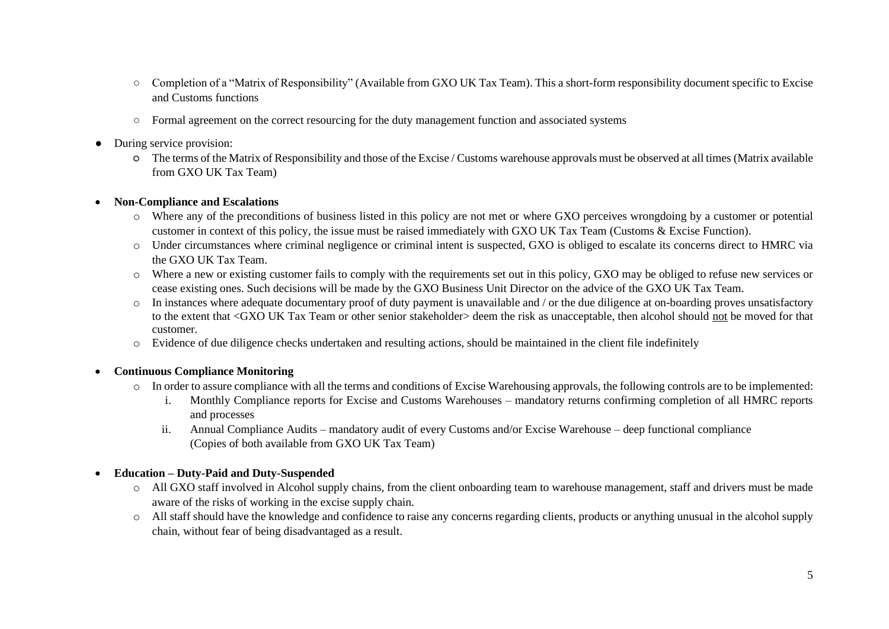- Completion of a "Matrix of Responsibility" (Available from GXO UK Tax Team). This a short-form responsibility document specific to Excise and Customs functions
- Formal agreement on the correct resourcing for the duty management function and associated systems
- During service provision:
	- The terms of the Matrix of Responsibility and those of the Excise / Customs warehouse approvals must be observed at all times (Matrix available from GXO UK Tax Team)

#### • **Non-Compliance and Escalations**

- o Where any of the preconditions of business listed in this policy are not met or where GXO perceives wrongdoing by a customer or potential customer in context of this policy, the issue must be raised immediately with GXO UK Tax Team (Customs & Excise Function).
- o Under circumstances where criminal negligence or criminal intent is suspected, GXO is obliged to escalate its concerns direct to HMRC via the GXO UK Tax Team.
- o Where a new or existing customer fails to comply with the requirements set out in this policy, GXO may be obliged to refuse new services or cease existing ones. Such decisions will be made by the GXO Business Unit Director on the advice of the GXO UK Tax Team.
- o In instances where adequate documentary proof of duty payment is unavailable and / or the due diligence at on-boarding proves unsatisfactory to the extent that <GXO UK Tax Team or other senior stakeholder> deem the risk as unacceptable, then alcohol should not be moved for that customer.
- o Evidence of due diligence checks undertaken and resulting actions, should be maintained in the client file indefinitely

# • **Continuous Compliance Monitoring**

- o In order to assure compliance with all the terms and conditions of Excise Warehousing approvals, the following controls are to be implemented:
	- i. Monthly Compliance reports for Excise and Customs Warehouses mandatory returns confirming completion of all HMRC reports and processes
	- ii. Annual Compliance Audits mandatory audit of every Customs and/or Excise Warehouse deep functional compliance (Copies of both available from GXO UK Tax Team)

# • **Education – Duty-Paid and Duty-Suspended**

- o All GXO staff involved in Alcohol supply chains, from the client onboarding team to warehouse management, staff and drivers must be made aware of the risks of working in the excise supply chain.
- o All staff should have the knowledge and confidence to raise any concerns regarding clients, products or anything unusual in the alcohol supply chain, without fear of being disadvantaged as a result.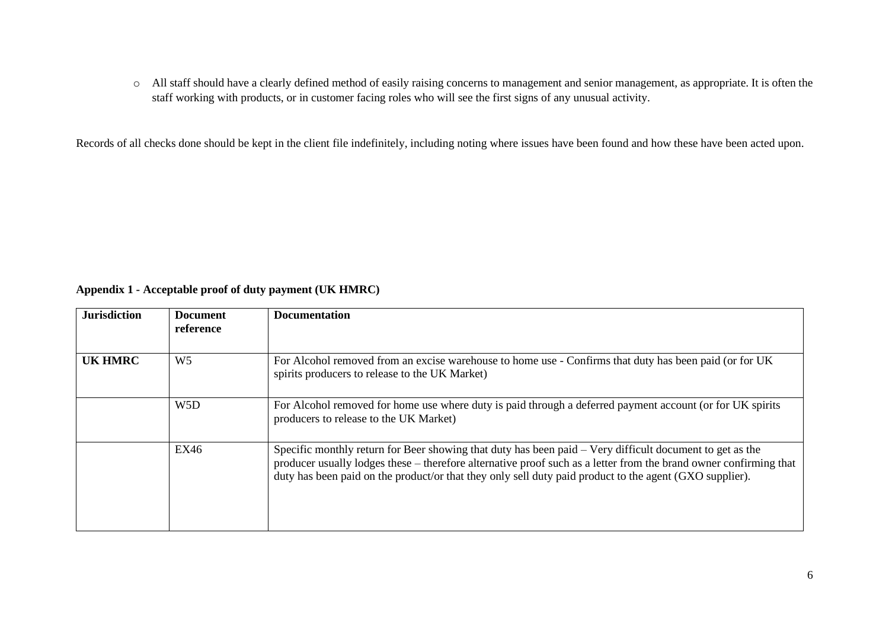o All staff should have a clearly defined method of easily raising concerns to management and senior management, as appropriate. It is often the staff working with products, or in customer facing roles who will see the first signs of any unusual activity.

Records of all checks done should be kept in the client file indefinitely, including noting where issues have been found and how these have been acted upon.

# **Appendix 1 - Acceptable proof of duty payment (UK HMRC)**

| <b>Jurisdiction</b> | <b>Document</b><br>reference | <b>Documentation</b>                                                                                                                                                                                                                                                                                                                     |
|---------------------|------------------------------|------------------------------------------------------------------------------------------------------------------------------------------------------------------------------------------------------------------------------------------------------------------------------------------------------------------------------------------|
| <b>UK HMRC</b>      | W <sub>5</sub>               | For Alcohol removed from an excise warehouse to home use - Confirms that duty has been paid (or for UK)<br>spirits producers to release to the UK Market)                                                                                                                                                                                |
|                     | W <sub>5</sub> D             | For Alcohol removed for home use where duty is paid through a deferred payment account (or for UK spirits<br>producers to release to the UK Market)                                                                                                                                                                                      |
| EX46                |                              | Specific monthly return for Beer showing that duty has been paid – Very difficult document to get as the<br>producer usually lodges these – therefore alternative proof such as a letter from the brand owner confirming that<br>duty has been paid on the product/or that they only sell duty paid product to the agent (GXO supplier). |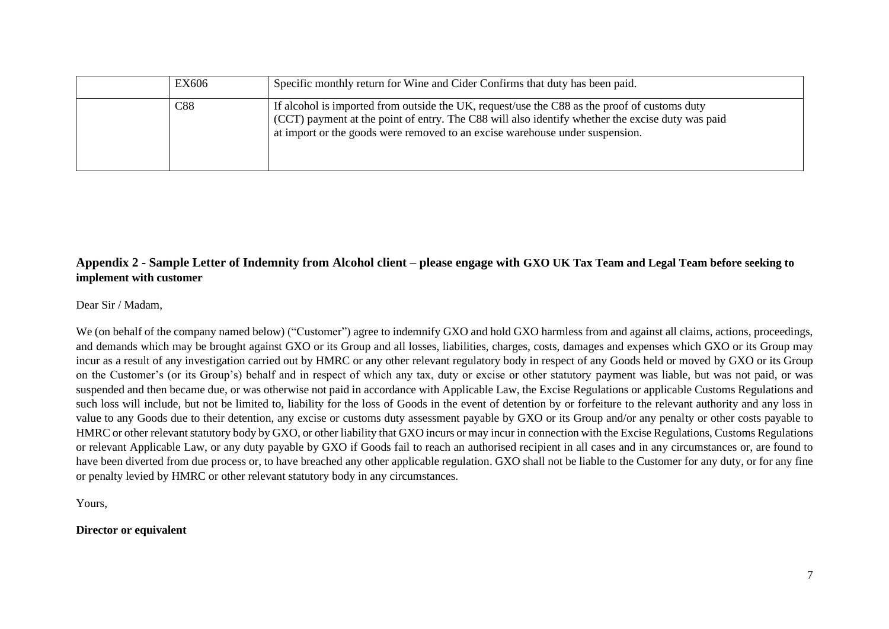| EX606 | Specific monthly return for Wine and Cider Confirms that duty has been paid.                                                                                                                                                                                                     |
|-------|----------------------------------------------------------------------------------------------------------------------------------------------------------------------------------------------------------------------------------------------------------------------------------|
| C88   | If alcohol is imported from outside the UK, request/use the C88 as the proof of customs duty<br>(CCT) payment at the point of entry. The C88 will also identify whether the excise duty was paid<br>at import or the goods were removed to an excise warehouse under suspension. |

# **Appendix 2 - Sample Letter of Indemnity from Alcohol client – please engage with GXO UK Tax Team and Legal Team before seeking to implement with customer**

Dear Sir / Madam,

We (on behalf of the company named below) ("Customer") agree to indemnify GXO and hold GXO harmless from and against all claims, actions, proceedings, and demands which may be brought against GXO or its Group and all losses, liabilities, charges, costs, damages and expenses which GXO or its Group may incur as a result of any investigation carried out by HMRC or any other relevant regulatory body in respect of any Goods held or moved by GXO or its Group on the Customer's (or its Group's) behalf and in respect of which any tax, duty or excise or other statutory payment was liable, but was not paid, or was suspended and then became due, or was otherwise not paid in accordance with Applicable Law, the Excise Regulations or applicable Customs Regulations and such loss will include, but not be limited to, liability for the loss of Goods in the event of detention by or forfeiture to the relevant authority and any loss in value to any Goods due to their detention, any excise or customs duty assessment payable by GXO or its Group and/or any penalty or other costs payable to HMRC or other relevant statutory body by GXO, or other liability that GXO incurs or may incur in connection with the Excise Regulations, Customs Regulations or relevant Applicable Law, or any duty payable by GXO if Goods fail to reach an authorised recipient in all cases and in any circumstances or, are found to have been diverted from due process or, to have breached any other applicable regulation. GXO shall not be liable to the Customer for any duty, or for any fine or penalty levied by HMRC or other relevant statutory body in any circumstances.

Yours,

**Director or equivalent**